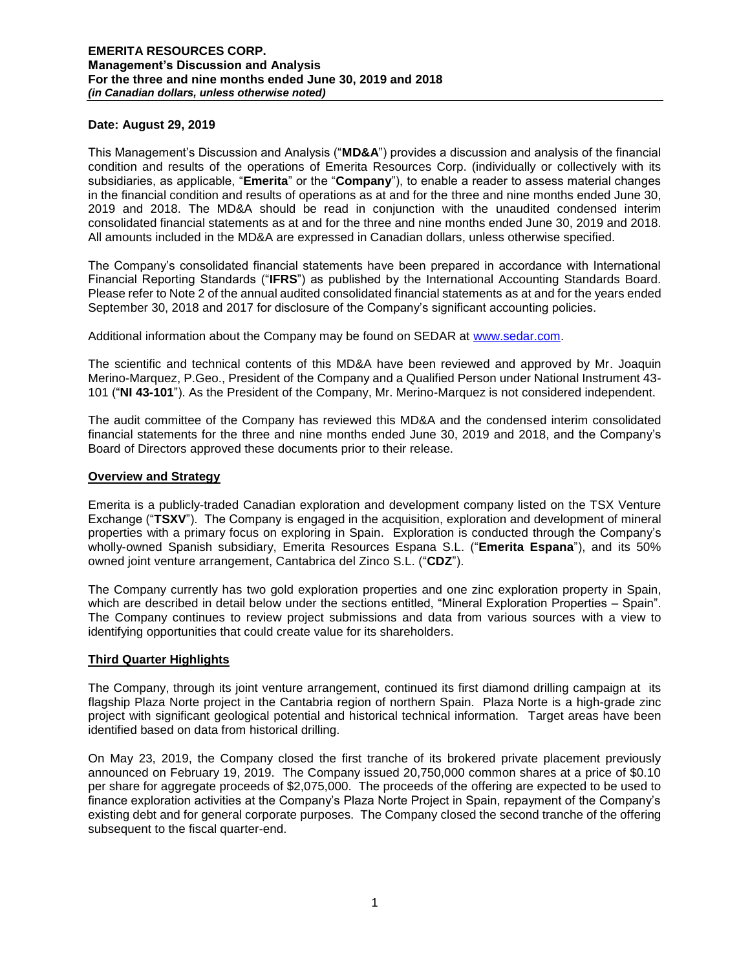### **Date: August 29, 2019**

This Management's Discussion and Analysis ("**MD&A**") provides a discussion and analysis of the financial condition and results of the operations of Emerita Resources Corp. (individually or collectively with its subsidiaries, as applicable, "**Emerita**" or the "**Company**"), to enable a reader to assess material changes in the financial condition and results of operations as at and for the three and nine months ended June 30, 2019 and 2018. The MD&A should be read in conjunction with the unaudited condensed interim consolidated financial statements as at and for the three and nine months ended June 30, 2019 and 2018. All amounts included in the MD&A are expressed in Canadian dollars, unless otherwise specified.

The Company's consolidated financial statements have been prepared in accordance with International Financial Reporting Standards ("**IFRS**") as published by the International Accounting Standards Board. Please refer to Note 2 of the annual audited consolidated financial statements as at and for the years ended September 30, 2018 and 2017 for disclosure of the Company's significant accounting policies.

Additional information about the Company may be found on SEDAR at [www.sedar.com.](http://www.sedar.com/)

The scientific and technical contents of this MD&A have been reviewed and approved by Mr. Joaquin Merino-Marquez, P.Geo., President of the Company and a Qualified Person under National Instrument 43- 101 ("**NI 43-101**"). As the President of the Company, Mr. Merino-Marquez is not considered independent.

The audit committee of the Company has reviewed this MD&A and the condensed interim consolidated financial statements for the three and nine months ended June 30, 2019 and 2018, and the Company's Board of Directors approved these documents prior to their release.

#### **Overview and Strategy**

Emerita is a publicly-traded Canadian exploration and development company listed on the TSX Venture Exchange ("**TSXV**"). The Company is engaged in the acquisition, exploration and development of mineral properties with a primary focus on exploring in Spain. Exploration is conducted through the Company's wholly-owned Spanish subsidiary, Emerita Resources Espana S.L. ("**Emerita Espana**"), and its 50% owned joint venture arrangement, Cantabrica del Zinco S.L. ("**CDZ**").

The Company currently has two gold exploration properties and one zinc exploration property in Spain, which are described in detail below under the sections entitled, "Mineral Exploration Properties – Spain". The Company continues to review project submissions and data from various sources with a view to identifying opportunities that could create value for its shareholders.

### **Third Quarter Highlights**

The Company, through its joint venture arrangement, continued its first diamond drilling campaign at its flagship Plaza Norte project in the Cantabria region of northern Spain. Plaza Norte is a high-grade zinc project with significant geological potential and historical technical information. Target areas have been identified based on data from historical drilling.

On May 23, 2019, the Company closed the first tranche of its brokered private placement previously announced on February 19, 2019. The Company issued 20,750,000 common shares at a price of \$0.10 per share for aggregate proceeds of \$2,075,000. The proceeds of the offering are expected to be used to finance exploration activities at the Company's Plaza Norte Project in Spain, repayment of the Company's existing debt and for general corporate purposes. The Company closed the second tranche of the offering subsequent to the fiscal quarter-end.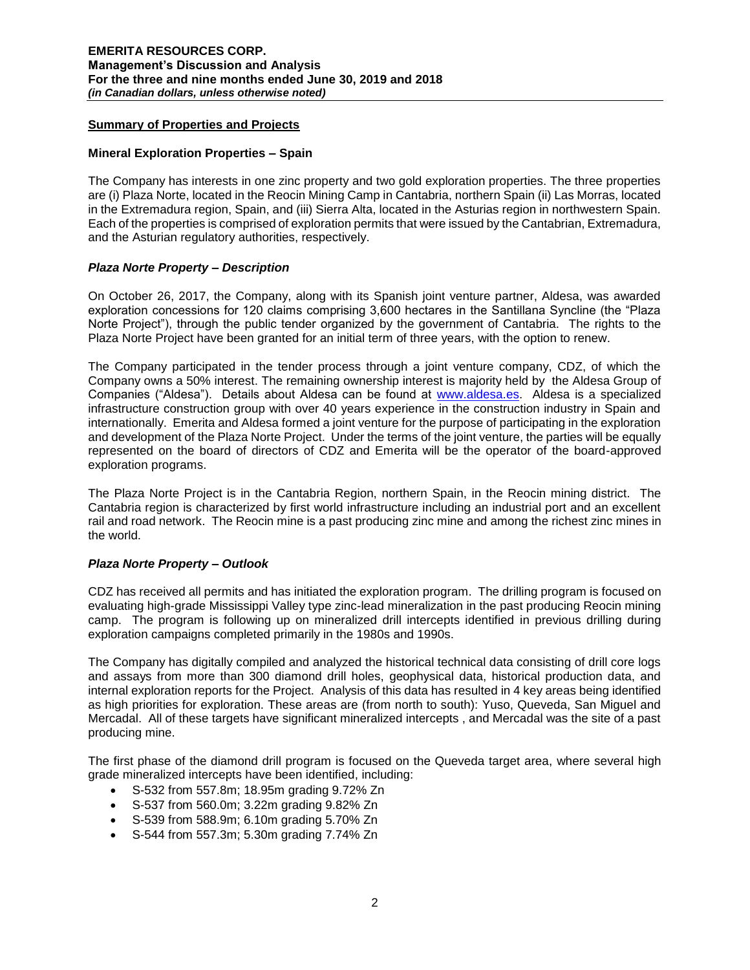### **Summary of Properties and Projects**

#### **Mineral Exploration Properties – Spain**

The Company has interests in one zinc property and two gold exploration properties. The three properties are (i) Plaza Norte, located in the Reocin Mining Camp in Cantabria, northern Spain (ii) Las Morras, located in the Extremadura region, Spain, and (iii) Sierra Alta, located in the Asturias region in northwestern Spain. Each of the properties is comprised of exploration permits that were issued by the Cantabrian, Extremadura, and the Asturian regulatory authorities, respectively.

### *Plaza Norte Property – Description*

On October 26, 2017, the Company, along with its Spanish joint venture partner, Aldesa, was awarded exploration concessions for 120 claims comprising 3,600 hectares in the Santillana Syncline (the "Plaza Norte Project"), through the public tender organized by the government of Cantabria. The rights to the Plaza Norte Project have been granted for an initial term of three years, with the option to renew.

The Company participated in the tender process through a joint venture company, CDZ, of which the Company owns a 50% interest. The remaining ownership interest is majority held by the Aldesa Group of Companies ("Aldesa"). Details about Aldesa can be found at [www.aldesa.es.](http://www.aldesa.es/) Aldesa is a specialized infrastructure construction group with over 40 years experience in the construction industry in Spain and internationally. Emerita and Aldesa formed a joint venture for the purpose of participating in the exploration and development of the Plaza Norte Project. Under the terms of the joint venture, the parties will be equally represented on the board of directors of CDZ and Emerita will be the operator of the board-approved exploration programs.

The Plaza Norte Project is in the Cantabria Region, northern Spain, in the Reocin mining district. The Cantabria region is characterized by first world infrastructure including an industrial port and an excellent rail and road network. The Reocin mine is a past producing zinc mine and among the richest zinc mines in the world.

### *Plaza Norte Property – Outlook*

CDZ has received all permits and has initiated the exploration program. The drilling program is focused on evaluating high-grade Mississippi Valley type zinc-lead mineralization in the past producing Reocin mining camp. The program is following up on mineralized drill intercepts identified in previous drilling during exploration campaigns completed primarily in the 1980s and 1990s.

The Company has digitally compiled and analyzed the historical technical data consisting of drill core logs and assays from more than 300 diamond drill holes, geophysical data, historical production data, and internal exploration reports for the Project. Analysis of this data has resulted in 4 key areas being identified as high priorities for exploration. These areas are (from north to south): Yuso, Queveda, San Miguel and Mercadal. All of these targets have significant mineralized intercepts , and Mercadal was the site of a past producing mine.

The first phase of the diamond drill program is focused on the Queveda target area, where several high grade mineralized intercepts have been identified, including:

- S-532 from 557.8m; 18.95m grading 9.72% Zn
- S-537 from 560.0m; 3.22m grading 9.82% Zn
- S-539 from 588.9m; 6.10m grading 5.70% Zn
- S-544 from 557.3m; 5.30m grading 7.74% Zn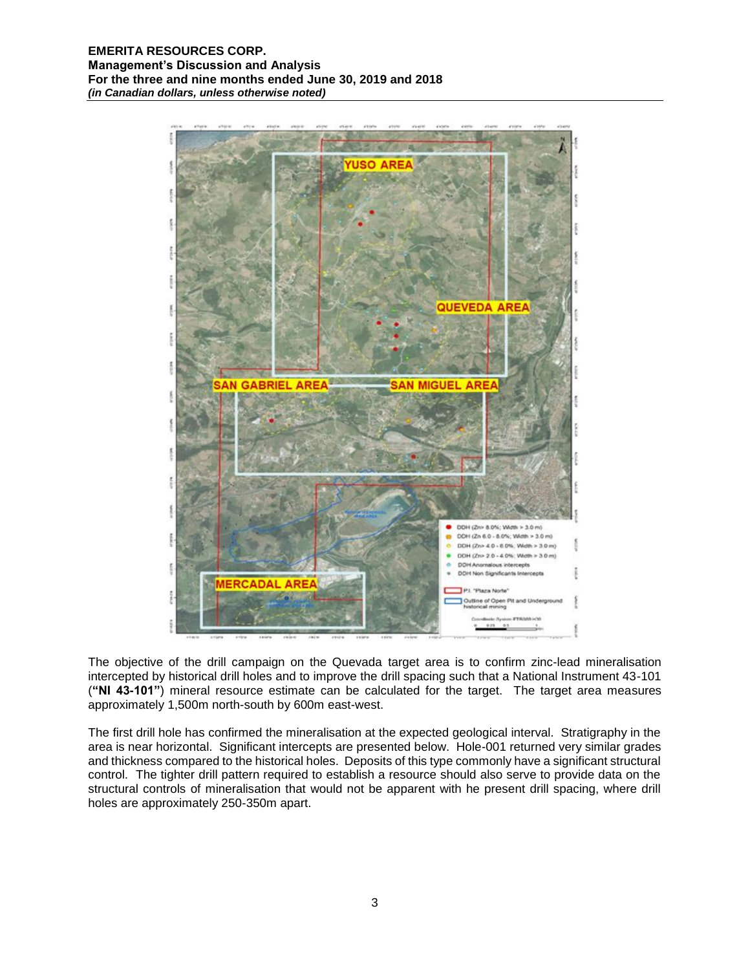

The objective of the drill campaign on the Quevada target area is to confirm zinc-lead mineralisation intercepted by historical drill holes and to improve the drill spacing such that a National Instrument 43-101 (**"NI 43-101"**) mineral resource estimate can be calculated for the target. The target area measures approximately 1,500m north-south by 600m east-west.

The first drill hole has confirmed the mineralisation at the expected geological interval. Stratigraphy in the area is near horizontal. Significant intercepts are presented below. Hole-001 returned very similar grades and thickness compared to the historical holes. Deposits of this type commonly have a significant structural control. The tighter drill pattern required to establish a resource should also serve to provide data on the structural controls of mineralisation that would not be apparent with he present drill spacing, where drill holes are approximately 250-350m apart.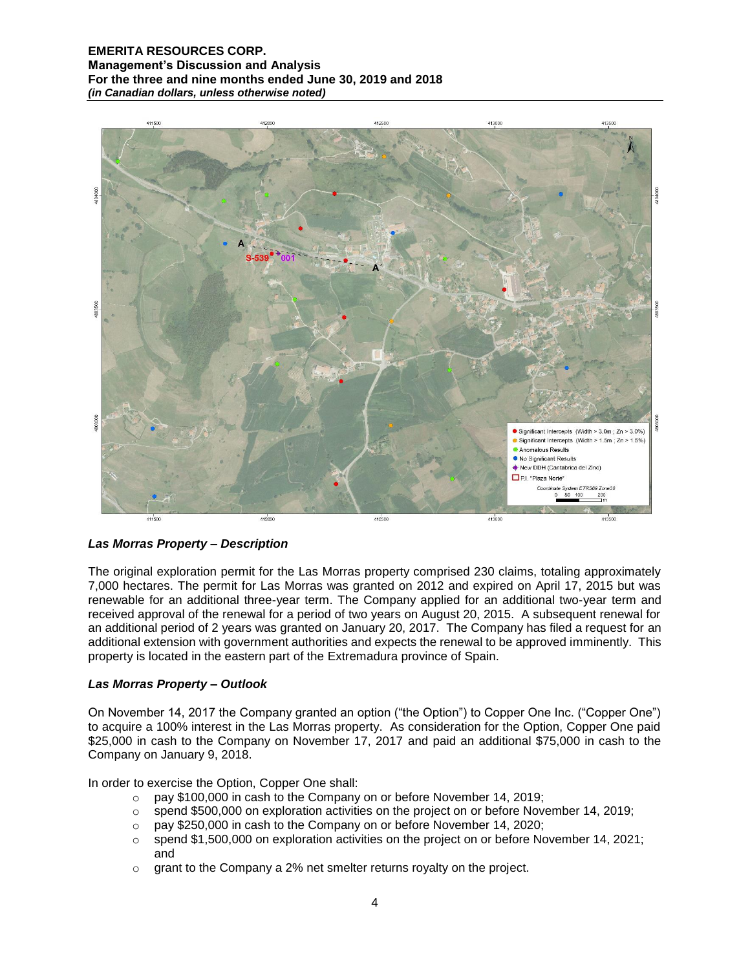

# *Las Morras Property – Description*

The original exploration permit for the Las Morras property comprised 230 claims, totaling approximately 7,000 hectares. The permit for Las Morras was granted on 2012 and expired on April 17, 2015 but was renewable for an additional three-year term. The Company applied for an additional two-year term and received approval of the renewal for a period of two years on August 20, 2015. A subsequent renewal for an additional period of 2 years was granted on January 20, 2017. The Company has filed a request for an additional extension with government authorities and expects the renewal to be approved imminently. This property is located in the eastern part of the Extremadura province of Spain.

### *Las Morras Property – Outlook*

On November 14, 2017 the Company granted an option ("the Option") to Copper One Inc. ("Copper One") to acquire a 100% interest in the Las Morras property. As consideration for the Option, Copper One paid \$25,000 in cash to the Company on November 17, 2017 and paid an additional \$75,000 in cash to the Company on January 9, 2018.

In order to exercise the Option, Copper One shall:

- o pay \$100,000 in cash to the Company on or before November 14, 2019;
- $\circ$  spend \$500,000 on exploration activities on the project on or before November 14, 2019;
- o pay \$250,000 in cash to the Company on or before November 14, 2020;
- $\circ$  spend \$1,500,000 on exploration activities on the project on or before November 14, 2021; and
- o grant to the Company a 2% net smelter returns royalty on the project.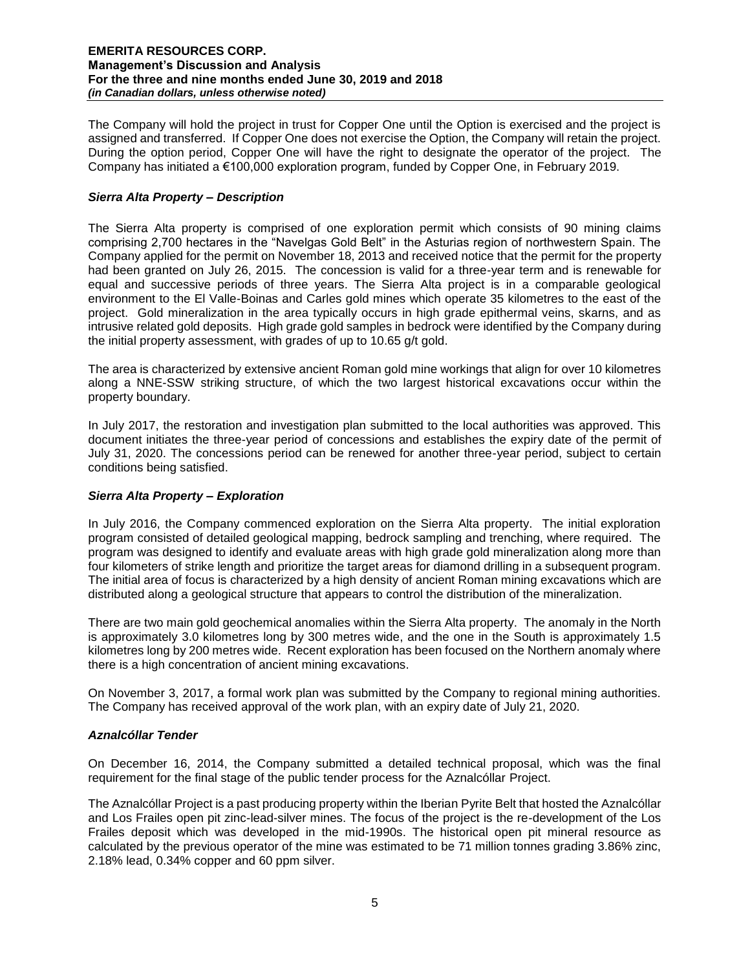The Company will hold the project in trust for Copper One until the Option is exercised and the project is assigned and transferred. If Copper One does not exercise the Option, the Company will retain the project. During the option period, Copper One will have the right to designate the operator of the project. The Company has initiated a €100,000 exploration program, funded by Copper One, in February 2019.

### *Sierra Alta Property – Description*

The Sierra Alta property is comprised of one exploration permit which consists of 90 mining claims comprising 2,700 hectares in the "Navelgas Gold Belt" in the Asturias region of northwestern Spain. The Company applied for the permit on November 18, 2013 and received notice that the permit for the property had been granted on July 26, 2015. The concession is valid for a three-year term and is renewable for equal and successive periods of three years. The Sierra Alta project is in a comparable geological environment to the El Valle-Boinas and Carles gold mines which operate 35 kilometres to the east of the project. Gold mineralization in the area typically occurs in high grade epithermal veins, skarns, and as intrusive related gold deposits. High grade gold samples in bedrock were identified by the Company during the initial property assessment, with grades of up to 10.65 g/t gold.

The area is characterized by extensive ancient Roman gold mine workings that align for over 10 kilometres along a NNE-SSW striking structure, of which the two largest historical excavations occur within the property boundary.

In July 2017, the restoration and investigation plan submitted to the local authorities was approved. This document initiates the three-year period of concessions and establishes the expiry date of the permit of July 31, 2020. The concessions period can be renewed for another three-year period, subject to certain conditions being satisfied.

# *Sierra Alta Property – Exploration*

In July 2016, the Company commenced exploration on the Sierra Alta property. The initial exploration program consisted of detailed geological mapping, bedrock sampling and trenching, where required. The program was designed to identify and evaluate areas with high grade gold mineralization along more than four kilometers of strike length and prioritize the target areas for diamond drilling in a subsequent program. The initial area of focus is characterized by a high density of ancient Roman mining excavations which are distributed along a geological structure that appears to control the distribution of the mineralization.

There are two main gold geochemical anomalies within the Sierra Alta property. The anomaly in the North is approximately 3.0 kilometres long by 300 metres wide, and the one in the South is approximately 1.5 kilometres long by 200 metres wide. Recent exploration has been focused on the Northern anomaly where there is a high concentration of ancient mining excavations.

On November 3, 2017, a formal work plan was submitted by the Company to regional mining authorities. The Company has received approval of the work plan, with an expiry date of July 21, 2020.

### *Aznalcóllar Tender*

On December 16, 2014, the Company submitted a detailed technical proposal, which was the final requirement for the final stage of the public tender process for the Aznalcóllar Project.

The Aznalcóllar Project is a past producing property within the Iberian Pyrite Belt that hosted the Aznalcóllar and Los Frailes open pit zinc-lead-silver mines. The focus of the project is the re-development of the Los Frailes deposit which was developed in the mid-1990s. The historical open pit mineral resource as calculated by the previous operator of the mine was estimated to be 71 million tonnes grading 3.86% zinc, 2.18% lead, 0.34% copper and 60 ppm silver.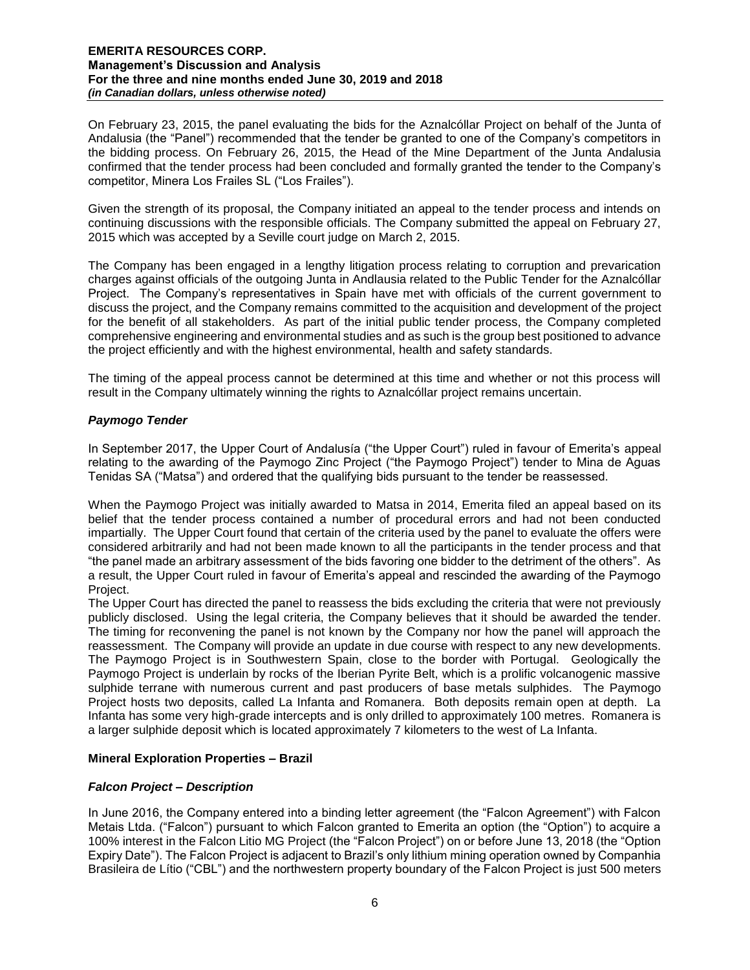On February 23, 2015, the panel evaluating the bids for the Aznalcóllar Project on behalf of the Junta of Andalusia (the "Panel") recommended that the tender be granted to one of the Company's competitors in the bidding process. On February 26, 2015, the Head of the Mine Department of the Junta Andalusia confirmed that the tender process had been concluded and formally granted the tender to the Company's competitor, Minera Los Frailes SL ("Los Frailes").

Given the strength of its proposal, the Company initiated an appeal to the tender process and intends on continuing discussions with the responsible officials. The Company submitted the appeal on February 27, 2015 which was accepted by a Seville court judge on March 2, 2015.

The Company has been engaged in a lengthy litigation process relating to corruption and prevarication charges against officials of the outgoing Junta in Andlausia related to the Public Tender for the Aznalcóllar Project. The Company's representatives in Spain have met with officials of the current government to discuss the project, and the Company remains committed to the acquisition and development of the project for the benefit of all stakeholders. As part of the initial public tender process, the Company completed comprehensive engineering and environmental studies and as such is the group best positioned to advance the project efficiently and with the highest environmental, health and safety standards.

The timing of the appeal process cannot be determined at this time and whether or not this process will result in the Company ultimately winning the rights to Aznalcóllar project remains uncertain.

# *Paymogo Tender*

In September 2017, the Upper Court of Andalusía ("the Upper Court") ruled in favour of Emerita's appeal relating to the awarding of the Paymogo Zinc Project ("the Paymogo Project") tender to Mina de Aguas Tenidas SA ("Matsa") and ordered that the qualifying bids pursuant to the tender be reassessed.

When the Paymogo Project was initially awarded to Matsa in 2014, Emerita filed an appeal based on its belief that the tender process contained a number of procedural errors and had not been conducted impartially. The Upper Court found that certain of the criteria used by the panel to evaluate the offers were considered arbitrarily and had not been made known to all the participants in the tender process and that "the panel made an arbitrary assessment of the bids favoring one bidder to the detriment of the others". As a result, the Upper Court ruled in favour of Emerita's appeal and rescinded the awarding of the Paymogo Project.

The Upper Court has directed the panel to reassess the bids excluding the criteria that were not previously publicly disclosed. Using the legal criteria, the Company believes that it should be awarded the tender. The timing for reconvening the panel is not known by the Company nor how the panel will approach the reassessment. The Company will provide an update in due course with respect to any new developments. The Paymogo Project is in Southwestern Spain, close to the border with Portugal. Geologically the Paymogo Project is underlain by rocks of the Iberian Pyrite Belt, which is a prolific volcanogenic massive sulphide terrane with numerous current and past producers of base metals sulphides. The Paymogo Project hosts two deposits, called La Infanta and Romanera. Both deposits remain open at depth. La Infanta has some very high-grade intercepts and is only drilled to approximately 100 metres. Romanera is a larger sulphide deposit which is located approximately 7 kilometers to the west of La Infanta.

### **Mineral Exploration Properties – Brazil**

### *Falcon Project – Description*

In June 2016, the Company entered into a binding letter agreement (the "Falcon Agreement") with Falcon Metais Ltda. ("Falcon") pursuant to which Falcon granted to Emerita an option (the "Option") to acquire a 100% interest in the Falcon Litio MG Project (the "Falcon Project") on or before June 13, 2018 (the "Option Expiry Date"). The Falcon Project is adjacent to Brazil's only lithium mining operation owned by Companhia Brasileira de Lítio ("CBL") and the northwestern property boundary of the Falcon Project is just 500 meters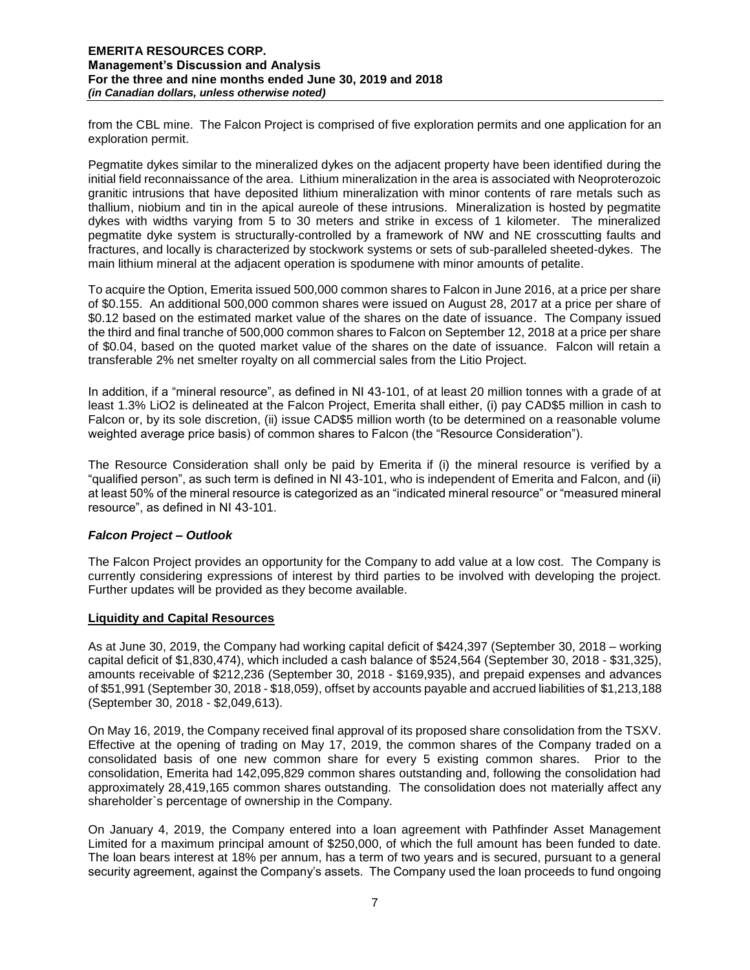from the CBL mine. The Falcon Project is comprised of five exploration permits and one application for an exploration permit.

Pegmatite dykes similar to the mineralized dykes on the adjacent property have been identified during the initial field reconnaissance of the area. Lithium mineralization in the area is associated with Neoproterozoic granitic intrusions that have deposited lithium mineralization with minor contents of rare metals such as thallium, niobium and tin in the apical aureole of these intrusions. Mineralization is hosted by pegmatite dykes with widths varying from 5 to 30 meters and strike in excess of 1 kilometer. The mineralized pegmatite dyke system is structurally-controlled by a framework of NW and NE crosscutting faults and fractures, and locally is characterized by stockwork systems or sets of sub-paralleled sheeted-dykes. The main lithium mineral at the adjacent operation is spodumene with minor amounts of petalite.

To acquire the Option, Emerita issued 500,000 common shares to Falcon in June 2016, at a price per share of \$0.155. An additional 500,000 common shares were issued on August 28, 2017 at a price per share of \$0.12 based on the estimated market value of the shares on the date of issuance. The Company issued the third and final tranche of 500,000 common shares to Falcon on September 12, 2018 at a price per share of \$0.04, based on the quoted market value of the shares on the date of issuance. Falcon will retain a transferable 2% net smelter royalty on all commercial sales from the Litio Project.

In addition, if a "mineral resource", as defined in NI 43-101, of at least 20 million tonnes with a grade of at least 1.3% LiO2 is delineated at the Falcon Project, Emerita shall either, (i) pay CAD\$5 million in cash to Falcon or, by its sole discretion, (ii) issue CAD\$5 million worth (to be determined on a reasonable volume weighted average price basis) of common shares to Falcon (the "Resource Consideration").

The Resource Consideration shall only be paid by Emerita if (i) the mineral resource is verified by a "qualified person", as such term is defined in NI 43-101, who is independent of Emerita and Falcon, and (ii) at least 50% of the mineral resource is categorized as an "indicated mineral resource" or "measured mineral resource", as defined in NI 43-101.

### *Falcon Project – Outlook*

The Falcon Project provides an opportunity for the Company to add value at a low cost. The Company is currently considering expressions of interest by third parties to be involved with developing the project. Further updates will be provided as they become available.

### **Liquidity and Capital Resources**

As at June 30, 2019, the Company had working capital deficit of \$424,397 (September 30, 2018 – working capital deficit of \$1,830,474), which included a cash balance of \$524,564 (September 30, 2018 - \$31,325), amounts receivable of \$212,236 (September 30, 2018 - \$169,935), and prepaid expenses and advances of \$51,991 (September 30, 2018 - \$18,059), offset by accounts payable and accrued liabilities of \$1,213,188 (September 30, 2018 - \$2,049,613).

On May 16, 2019, the Company received final approval of its proposed share consolidation from the TSXV. Effective at the opening of trading on May 17, 2019, the common shares of the Company traded on a consolidated basis of one new common share for every 5 existing common shares. Prior to the consolidation, Emerita had 142,095,829 common shares outstanding and, following the consolidation had approximately 28,419,165 common shares outstanding. The consolidation does not materially affect any shareholder`s percentage of ownership in the Company.

On January 4, 2019, the Company entered into a loan agreement with Pathfinder Asset Management Limited for a maximum principal amount of \$250,000, of which the full amount has been funded to date. The loan bears interest at 18% per annum, has a term of two years and is secured, pursuant to a general security agreement, against the Company's assets. The Company used the loan proceeds to fund ongoing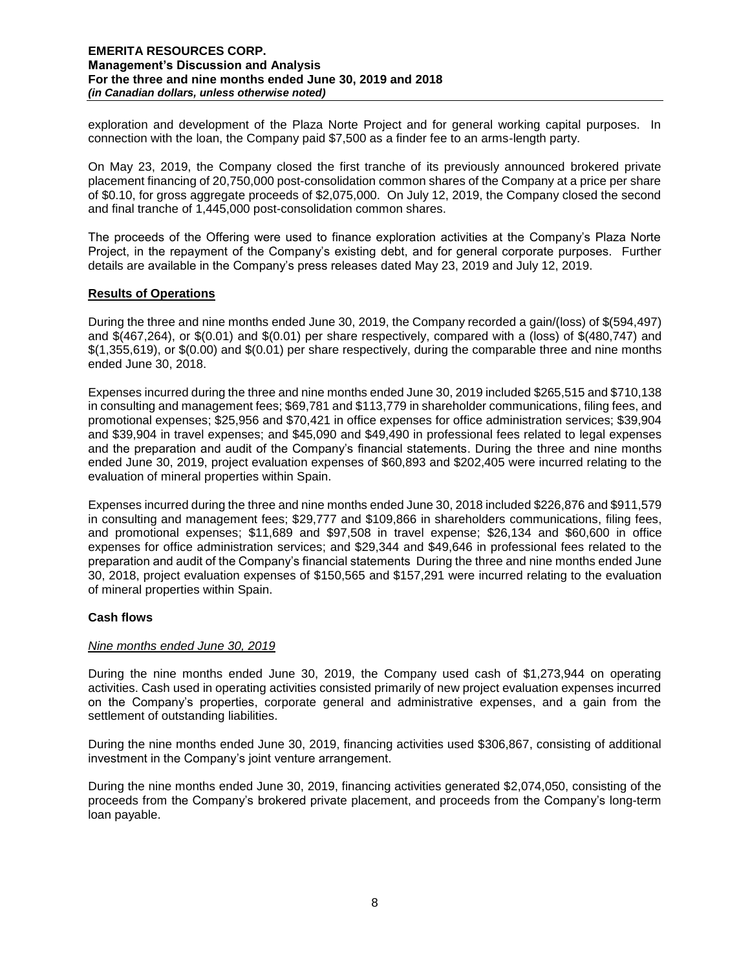exploration and development of the Plaza Norte Project and for general working capital purposes. In connection with the loan, the Company paid \$7,500 as a finder fee to an arms-length party.

On May 23, 2019, the Company closed the first tranche of its previously announced brokered private placement financing of 20,750,000 post-consolidation common shares of the Company at a price per share of \$0.10, for gross aggregate proceeds of \$2,075,000. On July 12, 2019, the Company closed the second and final tranche of 1,445,000 post-consolidation common shares.

The proceeds of the Offering were used to finance exploration activities at the Company's Plaza Norte Project, in the repayment of the Company's existing debt, and for general corporate purposes. Further details are available in the Company's press releases dated May 23, 2019 and July 12, 2019.

### **Results of Operations**

During the three and nine months ended June 30, 2019, the Company recorded a gain/(loss) of \$(594,497) and \$(467,264), or \$(0.01) and \$(0.01) per share respectively, compared with a (loss) of \$(480,747) and \$(1,355,619), or \$(0.00) and \$(0.01) per share respectively, during the comparable three and nine months ended June 30, 2018.

Expenses incurred during the three and nine months ended June 30, 2019 included \$265,515 and \$710,138 in consulting and management fees; \$69,781 and \$113,779 in shareholder communications, filing fees, and promotional expenses; \$25,956 and \$70,421 in office expenses for office administration services; \$39,904 and \$39,904 in travel expenses; and \$45,090 and \$49,490 in professional fees related to legal expenses and the preparation and audit of the Company's financial statements. During the three and nine months ended June 30, 2019, project evaluation expenses of \$60,893 and \$202,405 were incurred relating to the evaluation of mineral properties within Spain.

Expenses incurred during the three and nine months ended June 30, 2018 included \$226,876 and \$911,579 in consulting and management fees; \$29,777 and \$109,866 in shareholders communications, filing fees, and promotional expenses; \$11,689 and \$97,508 in travel expense; \$26,134 and \$60,600 in office expenses for office administration services; and \$29,344 and \$49,646 in professional fees related to the preparation and audit of the Company's financial statements During the three and nine months ended June 30, 2018, project evaluation expenses of \$150,565 and \$157,291 were incurred relating to the evaluation of mineral properties within Spain.

### **Cash flows**

#### *Nine months ended June 30, 2019*

During the nine months ended June 30, 2019, the Company used cash of \$1,273,944 on operating activities. Cash used in operating activities consisted primarily of new project evaluation expenses incurred on the Company's properties, corporate general and administrative expenses, and a gain from the settlement of outstanding liabilities.

During the nine months ended June 30, 2019, financing activities used \$306,867, consisting of additional investment in the Company's joint venture arrangement.

During the nine months ended June 30, 2019, financing activities generated \$2,074,050, consisting of the proceeds from the Company's brokered private placement, and proceeds from the Company's long-term loan payable.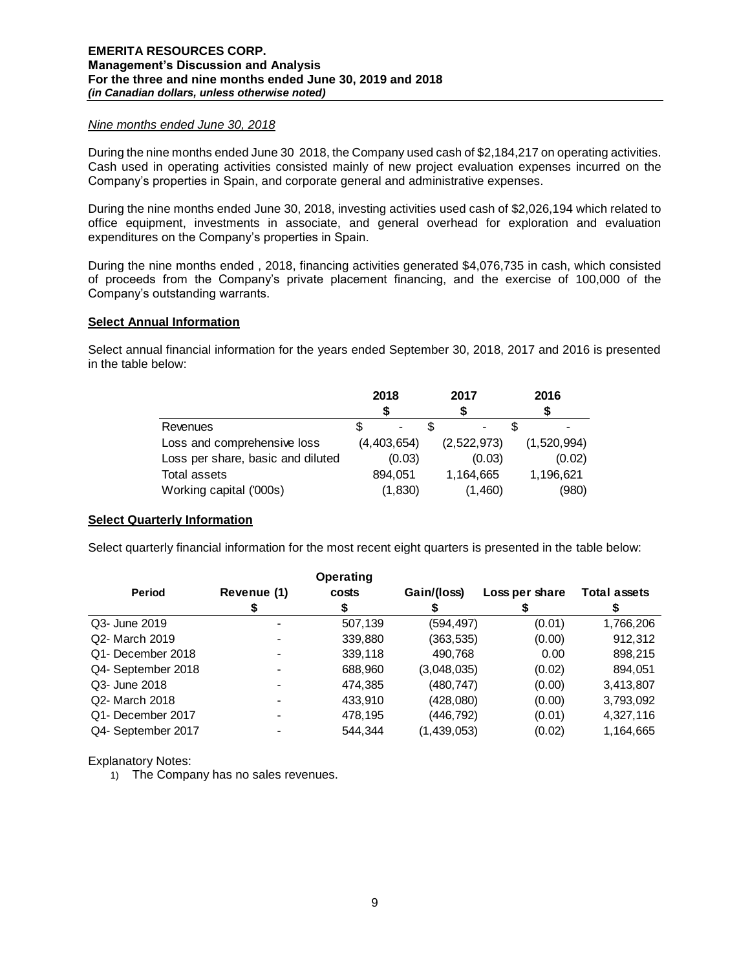### *Nine months ended June 30, 2018*

During the nine months ended June 30 2018, the Company used cash of \$2,184,217 on operating activities. Cash used in operating activities consisted mainly of new project evaluation expenses incurred on the Company's properties in Spain, and corporate general and administrative expenses.

During the nine months ended June 30, 2018, investing activities used cash of \$2,026,194 which related to office equipment, investments in associate, and general overhead for exploration and evaluation expenditures on the Company's properties in Spain.

During the nine months ended , 2018, financing activities generated \$4,076,735 in cash, which consisted of proceeds from the Company's private placement financing, and the exercise of 100,000 of the Company's outstanding warrants.

### **Select Annual Information**

Select annual financial information for the years ended September 30, 2018, 2017 and 2016 is presented in the table below:

|                                   | 2018        | 2017                     | 2016        |
|-----------------------------------|-------------|--------------------------|-------------|
|                                   |             |                          |             |
| Revenues                          |             | $\overline{\phantom{a}}$ |             |
| Loss and comprehensive loss       | (4,403,654) | (2,522,973)              | (1,520,994) |
| Loss per share, basic and diluted | (0.03)      | (0.03)                   | (0.02)      |
| Total assets                      | 894.051     | 1,164,665                | 1,196,621   |
| Working capital ('000s)           | (1, 830)    | (1,460)                  | (980)       |

### **Select Quarterly Information**

Select quarterly financial information for the most recent eight quarters is presented in the table below:

|                    |             | <b>Operating</b> |             |                |                     |
|--------------------|-------------|------------------|-------------|----------------|---------------------|
| <b>Period</b>      | Revenue (1) | costs            | Gain/(loss) | Loss per share | <b>Total assets</b> |
|                    |             |                  |             |                |                     |
| Q3- June 2019      |             | 507,139          | (594, 497)  | (0.01)         | 1,766,206           |
| Q2- March 2019     |             | 339,880          | (363, 535)  | (0.00)         | 912,312             |
| Q1- December 2018  |             | 339,118          | 490,768     | 0.00           | 898,215             |
| Q4- September 2018 |             | 688,960          | (3,048,035) | (0.02)         | 894,051             |
| Q3- June 2018      |             | 474,385          | (480, 747)  | (0.00)         | 3,413,807           |
| Q2- March 2018     |             | 433.910          | (428,080)   | (0.00)         | 3,793,092           |
| Q1- December 2017  |             | 478,195          | (446,792)   | (0.01)         | 4,327,116           |
| Q4- September 2017 |             | 544.344          | (1,439,053) | (0.02)         | 1,164,665           |

Explanatory Notes:

1) The Company has no sales revenues.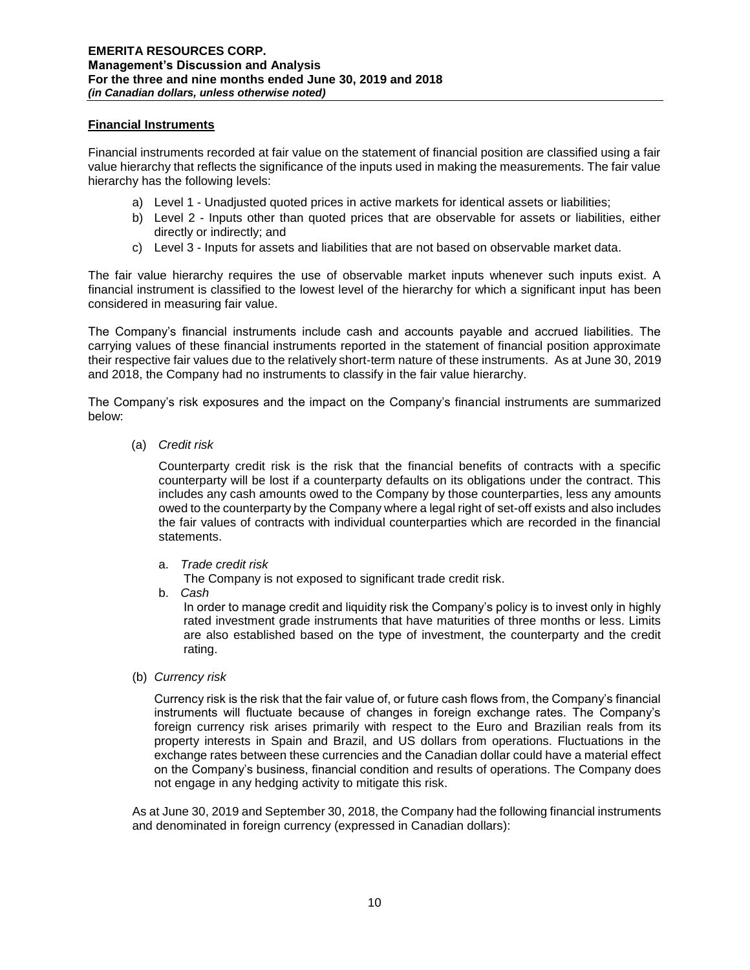## **Financial Instruments**

Financial instruments recorded at fair value on the statement of financial position are classified using a fair value hierarchy that reflects the significance of the inputs used in making the measurements. The fair value hierarchy has the following levels:

- a) Level 1 Unadjusted quoted prices in active markets for identical assets or liabilities;
- b) Level 2 Inputs other than quoted prices that are observable for assets or liabilities, either directly or indirectly; and
- c) Level 3 Inputs for assets and liabilities that are not based on observable market data.

The fair value hierarchy requires the use of observable market inputs whenever such inputs exist. A financial instrument is classified to the lowest level of the hierarchy for which a significant input has been considered in measuring fair value.

The Company's financial instruments include cash and accounts payable and accrued liabilities. The carrying values of these financial instruments reported in the statement of financial position approximate their respective fair values due to the relatively short-term nature of these instruments. As at June 30, 2019 and 2018, the Company had no instruments to classify in the fair value hierarchy.

The Company's risk exposures and the impact on the Company's financial instruments are summarized below:

(a) *Credit risk* 

Counterparty credit risk is the risk that the financial benefits of contracts with a specific counterparty will be lost if a counterparty defaults on its obligations under the contract. This includes any cash amounts owed to the Company by those counterparties, less any amounts owed to the counterparty by the Company where a legal right of set-off exists and also includes the fair values of contracts with individual counterparties which are recorded in the financial statements.

a. *Trade credit risk*

The Company is not exposed to significant trade credit risk.

b. *Cash* 

In order to manage credit and liquidity risk the Company's policy is to invest only in highly rated investment grade instruments that have maturities of three months or less. Limits are also established based on the type of investment, the counterparty and the credit rating.

(b) *Currency risk* 

Currency risk is the risk that the fair value of, or future cash flows from, the Company's financial instruments will fluctuate because of changes in foreign exchange rates. The Company's foreign currency risk arises primarily with respect to the Euro and Brazilian reals from its property interests in Spain and Brazil, and US dollars from operations. Fluctuations in the exchange rates between these currencies and the Canadian dollar could have a material effect on the Company's business, financial condition and results of operations. The Company does not engage in any hedging activity to mitigate this risk.

As at June 30, 2019 and September 30, 2018, the Company had the following financial instruments and denominated in foreign currency (expressed in Canadian dollars):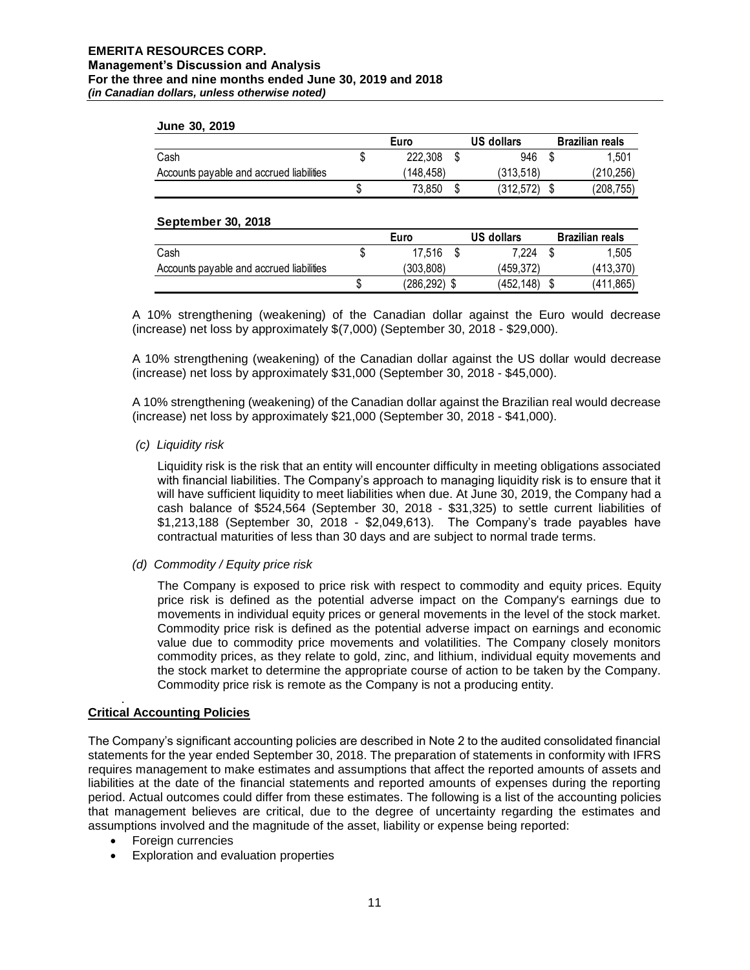#### **June 30, 2019**

|                                          | Euro     | US dollars | <b>Brazilian reals</b> |
|------------------------------------------|----------|------------|------------------------|
| Cash                                     | 222,308  | 946        | 1.501                  |
| Accounts payable and accrued liabilities | 148,458) | (313.518)  | (210,256)              |
|                                          | 73.850   | (312,572)  | (208.755)              |

### **September 30, 2018**

|                                          | Euro         | US dollars | <b>Brazilian reals</b> |
|------------------------------------------|--------------|------------|------------------------|
| Cash                                     | \$<br>17.516 | 7.224      | 1.505                  |
| Accounts payable and accrued liabilities | (303.808)    | (459.372)  | (413,370)              |
|                                          | (286,292) \$ | (452.148)  | (411,865)              |

A 10% strengthening (weakening) of the Canadian dollar against the Euro would decrease (increase) net loss by approximately \$(7,000) (September 30, 2018 - \$29,000).

A 10% strengthening (weakening) of the Canadian dollar against the US dollar would decrease (increase) net loss by approximately \$31,000 (September 30, 2018 - \$45,000).

A 10% strengthening (weakening) of the Canadian dollar against the Brazilian real would decrease (increase) net loss by approximately \$21,000 (September 30, 2018 - \$41,000).

### *(c) Liquidity risk*

Liquidity risk is the risk that an entity will encounter difficulty in meeting obligations associated with financial liabilities. The Company's approach to managing liquidity risk is to ensure that it will have sufficient liquidity to meet liabilities when due. At June 30, 2019, the Company had a cash balance of \$524,564 (September 30, 2018 - \$31,325) to settle current liabilities of \$1,213,188 (September 30, 2018 - \$2,049,613). The Company's trade payables have contractual maturities of less than 30 days and are subject to normal trade terms.

*(d) Commodity / Equity price risk*

The Company is exposed to price risk with respect to commodity and equity prices. Equity price risk is defined as the potential adverse impact on the Company's earnings due to movements in individual equity prices or general movements in the level of the stock market. Commodity price risk is defined as the potential adverse impact on earnings and economic value due to commodity price movements and volatilities. The Company closely monitors commodity prices, as they relate to gold, zinc, and lithium, individual equity movements and the stock market to determine the appropriate course of action to be taken by the Company. Commodity price risk is remote as the Company is not a producing entity.

#### . **Critical Accounting Policies**

The Company's significant accounting policies are described in Note 2 to the audited consolidated financial statements for the year ended September 30, 2018. The preparation of statements in conformity with IFRS requires management to make estimates and assumptions that affect the reported amounts of assets and liabilities at the date of the financial statements and reported amounts of expenses during the reporting period. Actual outcomes could differ from these estimates. The following is a list of the accounting policies that management believes are critical, due to the degree of uncertainty regarding the estimates and assumptions involved and the magnitude of the asset, liability or expense being reported:

- Foreign currencies
- Exploration and evaluation properties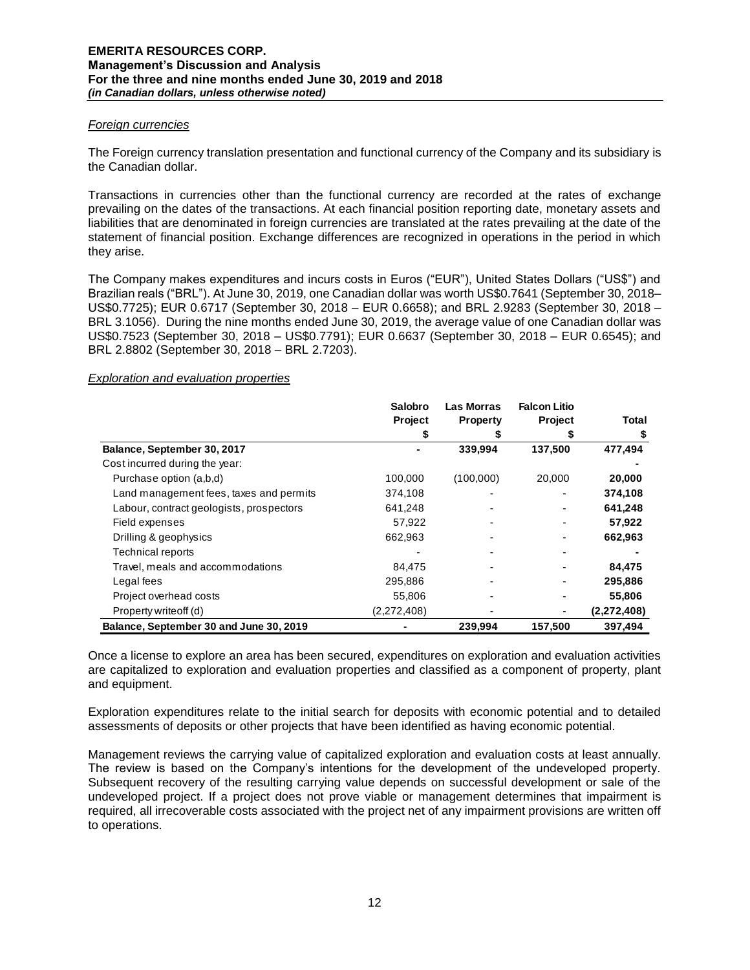### *Foreign currencies*

The Foreign currency translation presentation and functional currency of the Company and its subsidiary is the Canadian dollar.

Transactions in currencies other than the functional currency are recorded at the rates of exchange prevailing on the dates of the transactions. At each financial position reporting date, monetary assets and liabilities that are denominated in foreign currencies are translated at the rates prevailing at the date of the statement of financial position. Exchange differences are recognized in operations in the period in which they arise.

The Company makes expenditures and incurs costs in Euros ("EUR"), United States Dollars ("US\$") and Brazilian reals ("BRL"). At June 30, 2019, one Canadian dollar was worth US\$0.7641 (September 30, 2018– US\$0.7725); EUR 0.6717 (September 30, 2018 – EUR 0.6658); and BRL 2.9283 (September 30, 2018 – BRL 3.1056). During the nine months ended June 30, 2019, the average value of one Canadian dollar was US\$0.7523 (September 30, 2018 – US\$0.7791); EUR 0.6637 (September 30, 2018 – EUR 0.6545); and BRL 2.8802 (September 30, 2018 – BRL 2.7203).

### *Exploration and evaluation properties*

|                                          | Salobro     | Las Morras      | <b>Falcon Litio</b> |             |
|------------------------------------------|-------------|-----------------|---------------------|-------------|
|                                          | Project     | <b>Property</b> | Project             | Total       |
|                                          |             |                 |                     | \$          |
| Balance, September 30, 2017              |             | 339,994         | 137,500             | 477,494     |
| Cost incurred during the year:           |             |                 |                     |             |
| Purchase option (a,b,d)                  | 100,000     | (100,000)       | 20,000              | 20,000      |
| Land management fees, taxes and permits  | 374,108     |                 |                     | 374,108     |
| Labour, contract geologists, prospectors | 641,248     |                 |                     | 641,248     |
| Field expenses                           | 57,922      |                 |                     | 57,922      |
| Drilling & geophysics                    | 662,963     |                 |                     | 662,963     |
| <b>Technical reports</b>                 |             |                 |                     |             |
| Travel, meals and accommodations         | 84,475      |                 |                     | 84,475      |
| Legal fees                               | 295,886     |                 |                     | 295,886     |
| Project overhead costs                   | 55,806      |                 |                     | 55,806      |
| Property writeoff (d)                    | (2,272,408) |                 |                     | (2,272,408) |
| Balance, September 30 and June 30, 2019  |             | 239,994         | 157,500             | 397,494     |

Once a license to explore an area has been secured, expenditures on exploration and evaluation activities are capitalized to exploration and evaluation properties and classified as a component of property, plant and equipment.

Exploration expenditures relate to the initial search for deposits with economic potential and to detailed assessments of deposits or other projects that have been identified as having economic potential.

Management reviews the carrying value of capitalized exploration and evaluation costs at least annually. The review is based on the Company's intentions for the development of the undeveloped property. Subsequent recovery of the resulting carrying value depends on successful development or sale of the undeveloped project. If a project does not prove viable or management determines that impairment is required, all irrecoverable costs associated with the project net of any impairment provisions are written off to operations.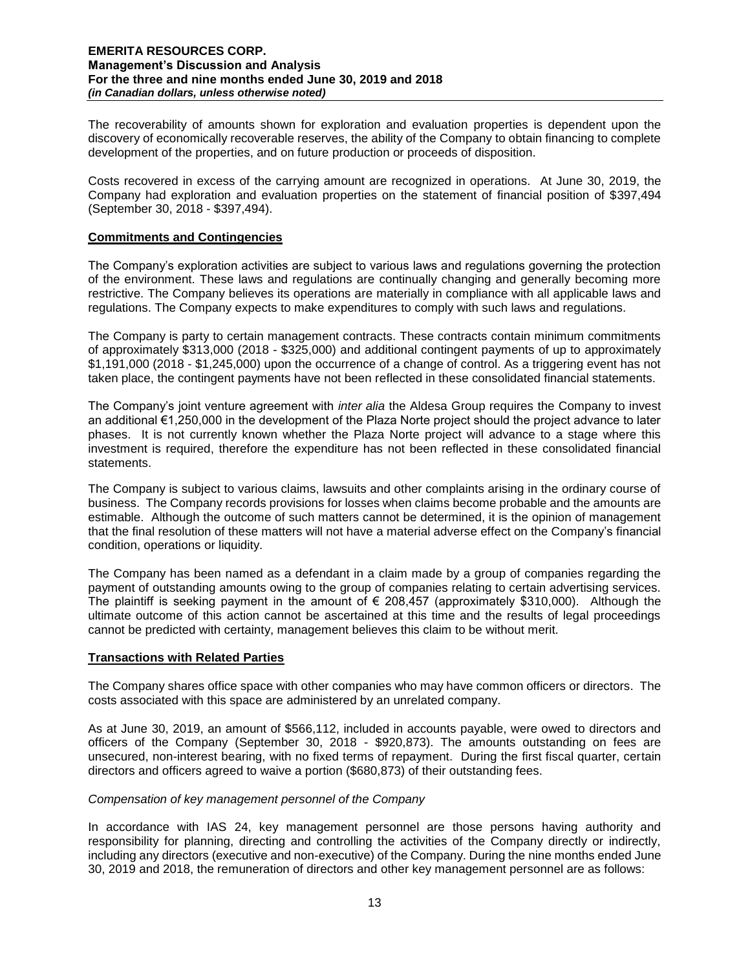The recoverability of amounts shown for exploration and evaluation properties is dependent upon the discovery of economically recoverable reserves, the ability of the Company to obtain financing to complete development of the properties, and on future production or proceeds of disposition.

Costs recovered in excess of the carrying amount are recognized in operations. At June 30, 2019, the Company had exploration and evaluation properties on the statement of financial position of \$397,494 (September 30, 2018 - \$397,494).

### **Commitments and Contingencies**

The Company's exploration activities are subject to various laws and regulations governing the protection of the environment. These laws and regulations are continually changing and generally becoming more restrictive. The Company believes its operations are materially in compliance with all applicable laws and regulations. The Company expects to make expenditures to comply with such laws and regulations.

The Company is party to certain management contracts. These contracts contain minimum commitments of approximately \$313,000 (2018 - \$325,000) and additional contingent payments of up to approximately \$1,191,000 (2018 - \$1,245,000) upon the occurrence of a change of control. As a triggering event has not taken place, the contingent payments have not been reflected in these consolidated financial statements.

The Company's joint venture agreement with *inter alia* the Aldesa Group requires the Company to invest an additional €1,250,000 in the development of the Plaza Norte project should the project advance to later phases. It is not currently known whether the Plaza Norte project will advance to a stage where this investment is required, therefore the expenditure has not been reflected in these consolidated financial statements.

The Company is subject to various claims, lawsuits and other complaints arising in the ordinary course of business. The Company records provisions for losses when claims become probable and the amounts are estimable. Although the outcome of such matters cannot be determined, it is the opinion of management that the final resolution of these matters will not have a material adverse effect on the Company's financial condition, operations or liquidity.

The Company has been named as a defendant in a claim made by a group of companies regarding the payment of outstanding amounts owing to the group of companies relating to certain advertising services. The plaintiff is seeking payment in the amount of  $\epsilon$  208,457 (approximately \$310,000). Although the ultimate outcome of this action cannot be ascertained at this time and the results of legal proceedings cannot be predicted with certainty, management believes this claim to be without merit.

#### **Transactions with Related Parties**

The Company shares office space with other companies who may have common officers or directors. The costs associated with this space are administered by an unrelated company.

As at June 30, 2019, an amount of \$566,112, included in accounts payable, were owed to directors and officers of the Company (September 30, 2018 - \$920,873). The amounts outstanding on fees are unsecured, non-interest bearing, with no fixed terms of repayment. During the first fiscal quarter, certain directors and officers agreed to waive a portion (\$680,873) of their outstanding fees.

### *Compensation of key management personnel of the Company*

In accordance with IAS 24, key management personnel are those persons having authority and responsibility for planning, directing and controlling the activities of the Company directly or indirectly, including any directors (executive and non-executive) of the Company. During the nine months ended June 30, 2019 and 2018, the remuneration of directors and other key management personnel are as follows: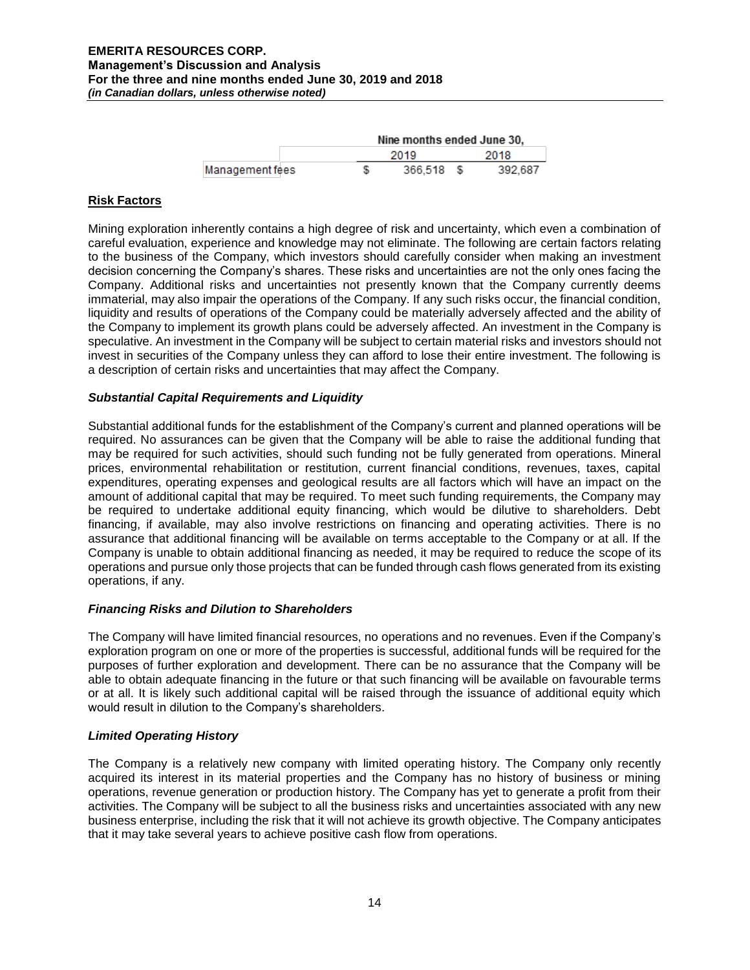|                 | Nine months ended June 30, |  |         |  |  |
|-----------------|----------------------------|--|---------|--|--|
|                 | 2019                       |  | 2018    |  |  |
| Management fees | 366.518                    |  | 392.687 |  |  |

### **Risk Factors**

Mining exploration inherently contains a high degree of risk and uncertainty, which even a combination of careful evaluation, experience and knowledge may not eliminate. The following are certain factors relating to the business of the Company, which investors should carefully consider when making an investment decision concerning the Company's shares. These risks and uncertainties are not the only ones facing the Company. Additional risks and uncertainties not presently known that the Company currently deems immaterial, may also impair the operations of the Company. If any such risks occur, the financial condition, liquidity and results of operations of the Company could be materially adversely affected and the ability of the Company to implement its growth plans could be adversely affected. An investment in the Company is speculative. An investment in the Company will be subject to certain material risks and investors should not invest in securities of the Company unless they can afford to lose their entire investment. The following is a description of certain risks and uncertainties that may affect the Company.

# *Substantial Capital Requirements and Liquidity*

Substantial additional funds for the establishment of the Company's current and planned operations will be required. No assurances can be given that the Company will be able to raise the additional funding that may be required for such activities, should such funding not be fully generated from operations. Mineral prices, environmental rehabilitation or restitution, current financial conditions, revenues, taxes, capital expenditures, operating expenses and geological results are all factors which will have an impact on the amount of additional capital that may be required. To meet such funding requirements, the Company may be required to undertake additional equity financing, which would be dilutive to shareholders. Debt financing, if available, may also involve restrictions on financing and operating activities. There is no assurance that additional financing will be available on terms acceptable to the Company or at all. If the Company is unable to obtain additional financing as needed, it may be required to reduce the scope of its operations and pursue only those projects that can be funded through cash flows generated from its existing operations, if any.

### *Financing Risks and Dilution to Shareholders*

The Company will have limited financial resources, no operations and no revenues. Even if the Company's exploration program on one or more of the properties is successful, additional funds will be required for the purposes of further exploration and development. There can be no assurance that the Company will be able to obtain adequate financing in the future or that such financing will be available on favourable terms or at all. It is likely such additional capital will be raised through the issuance of additional equity which would result in dilution to the Company's shareholders.

### *Limited Operating History*

The Company is a relatively new company with limited operating history. The Company only recently acquired its interest in its material properties and the Company has no history of business or mining operations, revenue generation or production history. The Company has yet to generate a profit from their activities. The Company will be subject to all the business risks and uncertainties associated with any new business enterprise, including the risk that it will not achieve its growth objective. The Company anticipates that it may take several years to achieve positive cash flow from operations.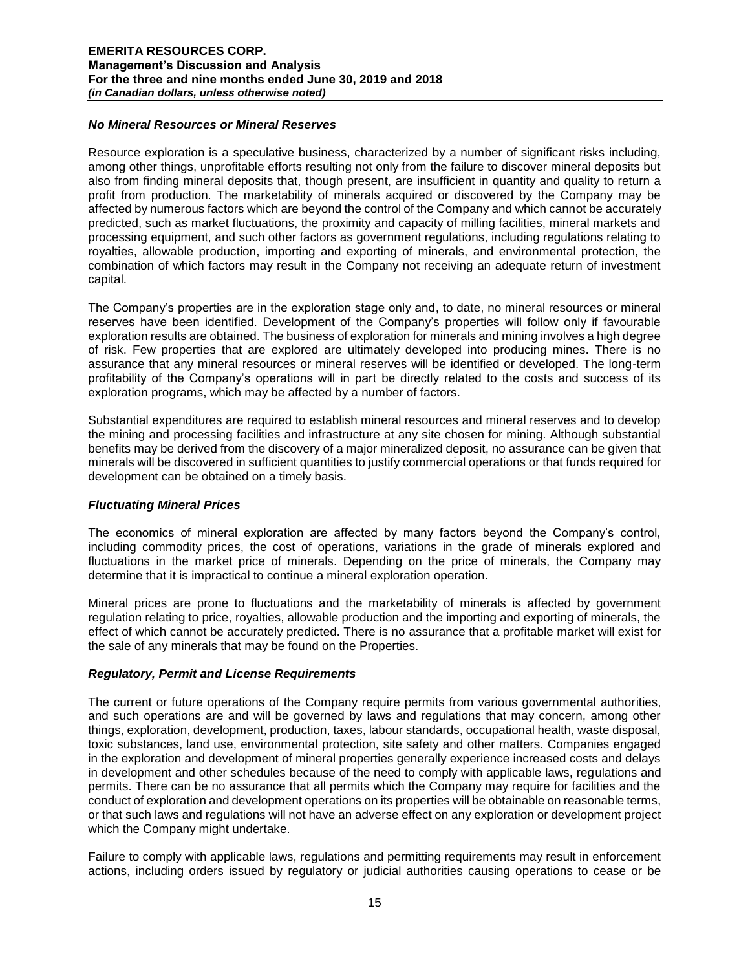### *No Mineral Resources or Mineral Reserves*

Resource exploration is a speculative business, characterized by a number of significant risks including, among other things, unprofitable efforts resulting not only from the failure to discover mineral deposits but also from finding mineral deposits that, though present, are insufficient in quantity and quality to return a profit from production. The marketability of minerals acquired or discovered by the Company may be affected by numerous factors which are beyond the control of the Company and which cannot be accurately predicted, such as market fluctuations, the proximity and capacity of milling facilities, mineral markets and processing equipment, and such other factors as government regulations, including regulations relating to royalties, allowable production, importing and exporting of minerals, and environmental protection, the combination of which factors may result in the Company not receiving an adequate return of investment capital.

The Company's properties are in the exploration stage only and, to date, no mineral resources or mineral reserves have been identified. Development of the Company's properties will follow only if favourable exploration results are obtained. The business of exploration for minerals and mining involves a high degree of risk. Few properties that are explored are ultimately developed into producing mines. There is no assurance that any mineral resources or mineral reserves will be identified or developed. The long-term profitability of the Company's operations will in part be directly related to the costs and success of its exploration programs, which may be affected by a number of factors.

Substantial expenditures are required to establish mineral resources and mineral reserves and to develop the mining and processing facilities and infrastructure at any site chosen for mining. Although substantial benefits may be derived from the discovery of a major mineralized deposit, no assurance can be given that minerals will be discovered in sufficient quantities to justify commercial operations or that funds required for development can be obtained on a timely basis.

### *Fluctuating Mineral Prices*

The economics of mineral exploration are affected by many factors beyond the Company's control, including commodity prices, the cost of operations, variations in the grade of minerals explored and fluctuations in the market price of minerals. Depending on the price of minerals, the Company may determine that it is impractical to continue a mineral exploration operation.

Mineral prices are prone to fluctuations and the marketability of minerals is affected by government regulation relating to price, royalties, allowable production and the importing and exporting of minerals, the effect of which cannot be accurately predicted. There is no assurance that a profitable market will exist for the sale of any minerals that may be found on the Properties.

### *Regulatory, Permit and License Requirements*

The current or future operations of the Company require permits from various governmental authorities, and such operations are and will be governed by laws and regulations that may concern, among other things, exploration, development, production, taxes, labour standards, occupational health, waste disposal, toxic substances, land use, environmental protection, site safety and other matters. Companies engaged in the exploration and development of mineral properties generally experience increased costs and delays in development and other schedules because of the need to comply with applicable laws, regulations and permits. There can be no assurance that all permits which the Company may require for facilities and the conduct of exploration and development operations on its properties will be obtainable on reasonable terms, or that such laws and regulations will not have an adverse effect on any exploration or development project which the Company might undertake.

Failure to comply with applicable laws, regulations and permitting requirements may result in enforcement actions, including orders issued by regulatory or judicial authorities causing operations to cease or be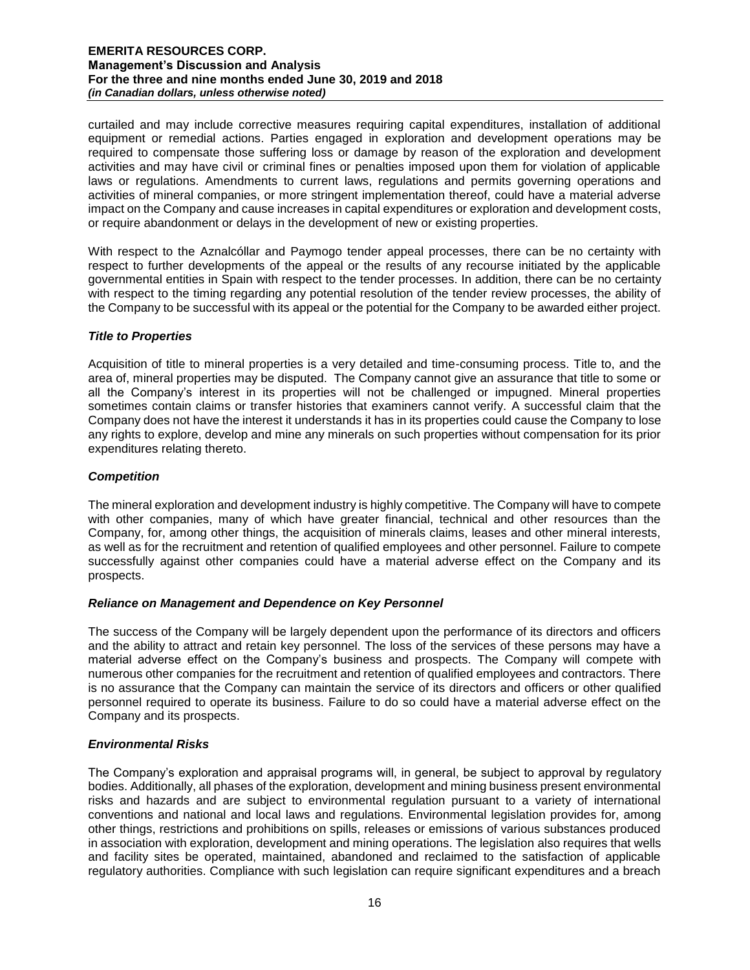curtailed and may include corrective measures requiring capital expenditures, installation of additional equipment or remedial actions. Parties engaged in exploration and development operations may be required to compensate those suffering loss or damage by reason of the exploration and development activities and may have civil or criminal fines or penalties imposed upon them for violation of applicable laws or regulations. Amendments to current laws, regulations and permits governing operations and activities of mineral companies, or more stringent implementation thereof, could have a material adverse impact on the Company and cause increases in capital expenditures or exploration and development costs, or require abandonment or delays in the development of new or existing properties.

With respect to the Aznalcóllar and Paymogo tender appeal processes, there can be no certainty with respect to further developments of the appeal or the results of any recourse initiated by the applicable governmental entities in Spain with respect to the tender processes. In addition, there can be no certainty with respect to the timing regarding any potential resolution of the tender review processes, the ability of the Company to be successful with its appeal or the potential for the Company to be awarded either project.

### *Title to Properties*

Acquisition of title to mineral properties is a very detailed and time-consuming process. Title to, and the area of, mineral properties may be disputed. The Company cannot give an assurance that title to some or all the Company's interest in its properties will not be challenged or impugned. Mineral properties sometimes contain claims or transfer histories that examiners cannot verify. A successful claim that the Company does not have the interest it understands it has in its properties could cause the Company to lose any rights to explore, develop and mine any minerals on such properties without compensation for its prior expenditures relating thereto.

# *Competition*

The mineral exploration and development industry is highly competitive. The Company will have to compete with other companies, many of which have greater financial, technical and other resources than the Company, for, among other things, the acquisition of minerals claims, leases and other mineral interests, as well as for the recruitment and retention of qualified employees and other personnel. Failure to compete successfully against other companies could have a material adverse effect on the Company and its prospects.

### *Reliance on Management and Dependence on Key Personnel*

The success of the Company will be largely dependent upon the performance of its directors and officers and the ability to attract and retain key personnel. The loss of the services of these persons may have a material adverse effect on the Company's business and prospects. The Company will compete with numerous other companies for the recruitment and retention of qualified employees and contractors. There is no assurance that the Company can maintain the service of its directors and officers or other qualified personnel required to operate its business. Failure to do so could have a material adverse effect on the Company and its prospects.

# *Environmental Risks*

The Company's exploration and appraisal programs will, in general, be subject to approval by regulatory bodies. Additionally, all phases of the exploration, development and mining business present environmental risks and hazards and are subject to environmental regulation pursuant to a variety of international conventions and national and local laws and regulations. Environmental legislation provides for, among other things, restrictions and prohibitions on spills, releases or emissions of various substances produced in association with exploration, development and mining operations. The legislation also requires that wells and facility sites be operated, maintained, abandoned and reclaimed to the satisfaction of applicable regulatory authorities. Compliance with such legislation can require significant expenditures and a breach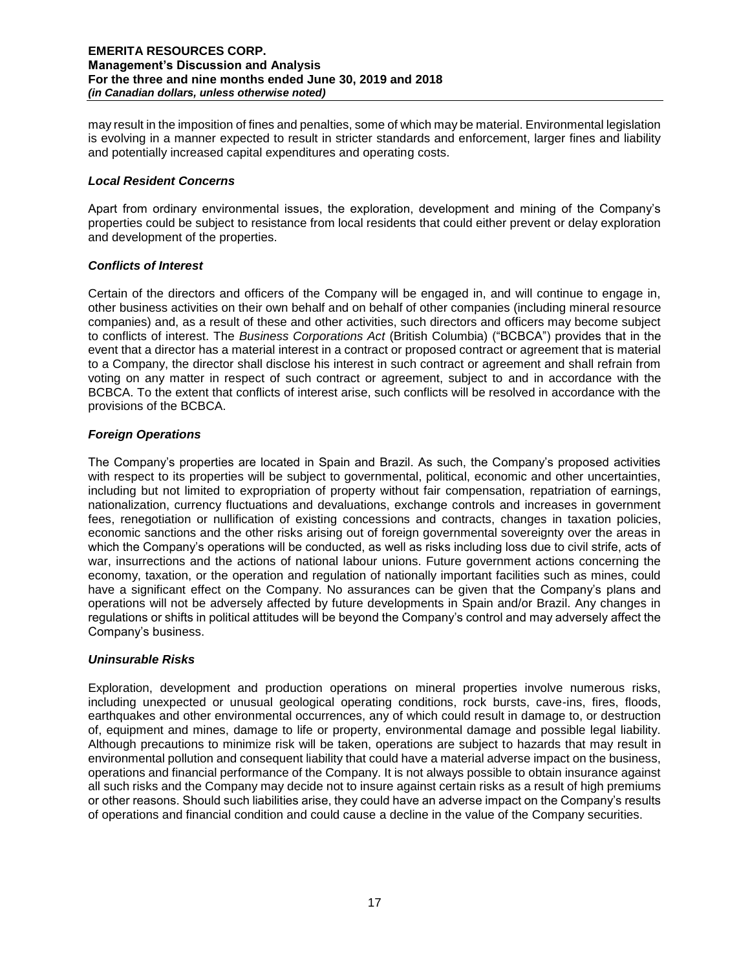may result in the imposition of fines and penalties, some of which may be material. Environmental legislation is evolving in a manner expected to result in stricter standards and enforcement, larger fines and liability and potentially increased capital expenditures and operating costs.

### *Local Resident Concerns*

Apart from ordinary environmental issues, the exploration, development and mining of the Company's properties could be subject to resistance from local residents that could either prevent or delay exploration and development of the properties.

# *Conflicts of Interest*

Certain of the directors and officers of the Company will be engaged in, and will continue to engage in, other business activities on their own behalf and on behalf of other companies (including mineral resource companies) and, as a result of these and other activities, such directors and officers may become subject to conflicts of interest. The *Business Corporations Act* (British Columbia) ("BCBCA") provides that in the event that a director has a material interest in a contract or proposed contract or agreement that is material to a Company, the director shall disclose his interest in such contract or agreement and shall refrain from voting on any matter in respect of such contract or agreement, subject to and in accordance with the BCBCA. To the extent that conflicts of interest arise, such conflicts will be resolved in accordance with the provisions of the BCBCA.

# *Foreign Operations*

The Company's properties are located in Spain and Brazil. As such, the Company's proposed activities with respect to its properties will be subject to governmental, political, economic and other uncertainties, including but not limited to expropriation of property without fair compensation, repatriation of earnings, nationalization, currency fluctuations and devaluations, exchange controls and increases in government fees, renegotiation or nullification of existing concessions and contracts, changes in taxation policies, economic sanctions and the other risks arising out of foreign governmental sovereignty over the areas in which the Company's operations will be conducted, as well as risks including loss due to civil strife, acts of war, insurrections and the actions of national labour unions. Future government actions concerning the economy, taxation, or the operation and regulation of nationally important facilities such as mines, could have a significant effect on the Company. No assurances can be given that the Company's plans and operations will not be adversely affected by future developments in Spain and/or Brazil. Any changes in regulations or shifts in political attitudes will be beyond the Company's control and may adversely affect the Company's business.

### *Uninsurable Risks*

Exploration, development and production operations on mineral properties involve numerous risks, including unexpected or unusual geological operating conditions, rock bursts, cave-ins, fires, floods, earthquakes and other environmental occurrences, any of which could result in damage to, or destruction of, equipment and mines, damage to life or property, environmental damage and possible legal liability. Although precautions to minimize risk will be taken, operations are subject to hazards that may result in environmental pollution and consequent liability that could have a material adverse impact on the business, operations and financial performance of the Company. It is not always possible to obtain insurance against all such risks and the Company may decide not to insure against certain risks as a result of high premiums or other reasons. Should such liabilities arise, they could have an adverse impact on the Company's results of operations and financial condition and could cause a decline in the value of the Company securities.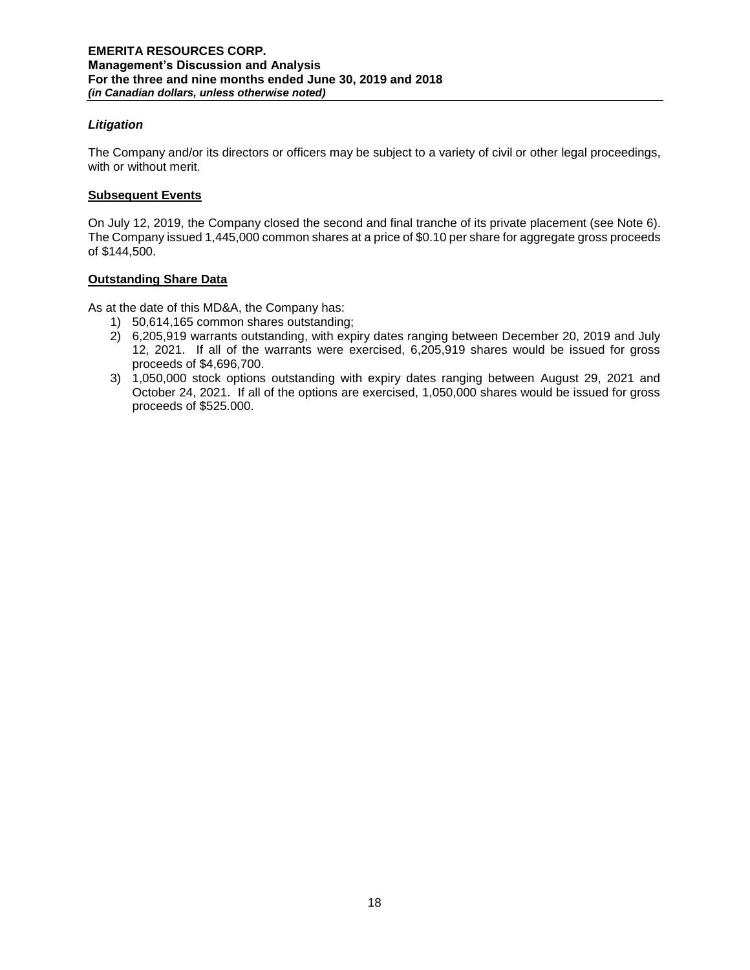# *Litigation*

The Company and/or its directors or officers may be subject to a variety of civil or other legal proceedings, with or without merit.

# **Subsequent Events**

On July 12, 2019, the Company closed the second and final tranche of its private placement (see Note 6). The Company issued 1,445,000 common shares at a price of \$0.10 per share for aggregate gross proceeds of \$144,500.

# **Outstanding Share Data**

As at the date of this MD&A, the Company has:

- 1) 50,614,165 common shares outstanding;
- 2) 6,205,919 warrants outstanding, with expiry dates ranging between December 20, 2019 and July 12, 2021. If all of the warrants were exercised, 6,205,919 shares would be issued for gross proceeds of \$4,696,700.
- 3) 1,050,000 stock options outstanding with expiry dates ranging between August 29, 2021 and October 24, 2021. If all of the options are exercised, 1,050,000 shares would be issued for gross proceeds of \$525.000.